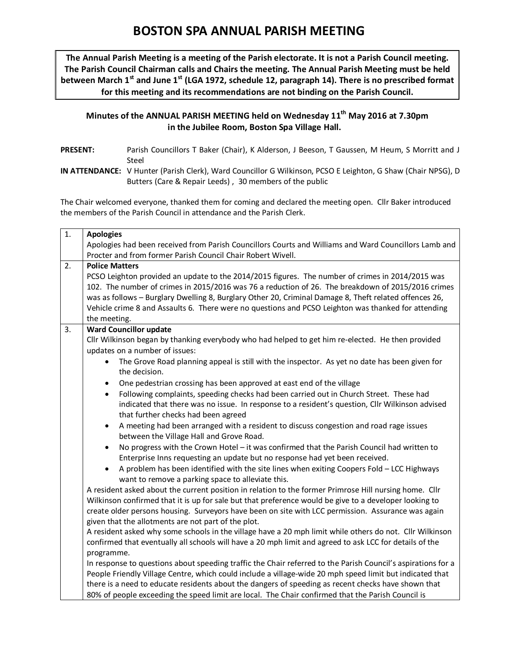## **BOSTON SPA ANNUAL PARISH MEETING**

**The Annual Parish Meeting is a meeting of the Parish electorate. It is not a Parish Council meeting. The Parish Council Chairman calls and Chairs the meeting. The Annual Parish Meeting must be held between March 1st and June 1st (LGA 1972, schedule 12, paragraph 14). There is no prescribed format for this meeting and its recommendations are not binding on the Parish Council.**

## **Minutes of the ANNUAL PARISH MEETING held on Wednesday 11th May 2016 at 7.30pm in the Jubilee Room, Boston Spa Village Hall.**

- **PRESENT:** Parish Councillors T Baker (Chair), K Alderson, J Beeson, T Gaussen, M Heum, S Morritt and J Steel
- **IN ATTENDANCE:** V Hunter (Parish Clerk), Ward Councillor G Wilkinson, PCSO E Leighton, G Shaw (Chair NPSG), D Butters (Care & Repair Leeds) , 30 members of the public

The Chair welcomed everyone, thanked them for coming and declared the meeting open. Cllr Baker introduced the members of the Parish Council in attendance and the Parish Clerk.

| $\overline{1}$ . | <b>Apologies</b>                                                                                                                                                                                                |  |  |  |  |  |
|------------------|-----------------------------------------------------------------------------------------------------------------------------------------------------------------------------------------------------------------|--|--|--|--|--|
|                  | Apologies had been received from Parish Councillors Courts and Williams and Ward Councillors Lamb and                                                                                                           |  |  |  |  |  |
|                  | Procter and from former Parish Council Chair Robert Wivell.                                                                                                                                                     |  |  |  |  |  |
| 2.               | <b>Police Matters</b>                                                                                                                                                                                           |  |  |  |  |  |
|                  | PCSO Leighton provided an update to the 2014/2015 figures. The number of crimes in 2014/2015 was                                                                                                                |  |  |  |  |  |
|                  | 102. The number of crimes in 2015/2016 was 76 a reduction of 26. The breakdown of 2015/2016 crimes                                                                                                              |  |  |  |  |  |
|                  | was as follows - Burglary Dwelling 8, Burglary Other 20, Criminal Damage 8, Theft related offences 26,                                                                                                          |  |  |  |  |  |
|                  | Vehicle crime 8 and Assaults 6. There were no questions and PCSO Leighton was thanked for attending                                                                                                             |  |  |  |  |  |
| 3.               | the meeting.<br><b>Ward Councillor update</b>                                                                                                                                                                   |  |  |  |  |  |
|                  | Cllr Wilkinson began by thanking everybody who had helped to get him re-elected. He then provided                                                                                                               |  |  |  |  |  |
|                  | updates on a number of issues:                                                                                                                                                                                  |  |  |  |  |  |
|                  | The Grove Road planning appeal is still with the inspector. As yet no date has been given for<br>the decision.                                                                                                  |  |  |  |  |  |
|                  | One pedestrian crossing has been approved at east end of the village<br>٠                                                                                                                                       |  |  |  |  |  |
|                  | Following complaints, speeding checks had been carried out in Church Street. These had<br>$\bullet$                                                                                                             |  |  |  |  |  |
|                  | indicated that there was no issue. In response to a resident's question, Cllr Wilkinson advised                                                                                                                 |  |  |  |  |  |
|                  | that further checks had been agreed                                                                                                                                                                             |  |  |  |  |  |
|                  | A meeting had been arranged with a resident to discuss congestion and road rage issues<br>$\bullet$                                                                                                             |  |  |  |  |  |
|                  | between the Village Hall and Grove Road.                                                                                                                                                                        |  |  |  |  |  |
|                  | No progress with the Crown Hotel - it was confirmed that the Parish Council had written to<br>$\bullet$<br>Enterprise Inns requesting an update but no response had yet been received.                          |  |  |  |  |  |
|                  | A problem has been identified with the site lines when exiting Coopers Fold - LCC Highways<br>$\bullet$<br>want to remove a parking space to alleviate this.                                                    |  |  |  |  |  |
|                  | A resident asked about the current position in relation to the former Primrose Hill nursing home. Cllr                                                                                                          |  |  |  |  |  |
|                  | Wilkinson confirmed that it is up for sale but that preference would be give to a developer looking to                                                                                                          |  |  |  |  |  |
|                  | create older persons housing. Surveyors have been on site with LCC permission. Assurance was again                                                                                                              |  |  |  |  |  |
|                  | given that the allotments are not part of the plot.                                                                                                                                                             |  |  |  |  |  |
|                  | A resident asked why some schools in the village have a 20 mph limit while others do not. Cllr Wilkinson                                                                                                        |  |  |  |  |  |
|                  | confirmed that eventually all schools will have a 20 mph limit and agreed to ask LCC for details of the                                                                                                         |  |  |  |  |  |
|                  | programme.                                                                                                                                                                                                      |  |  |  |  |  |
|                  | In response to questions about speeding traffic the Chair referred to the Parish Council's aspirations for a                                                                                                    |  |  |  |  |  |
|                  | People Friendly Village Centre, which could include a village-wide 20 mph speed limit but indicated that<br>there is a need to educate residents about the dangers of speeding as recent checks have shown that |  |  |  |  |  |
|                  | 80% of people exceeding the speed limit are local. The Chair confirmed that the Parish Council is                                                                                                               |  |  |  |  |  |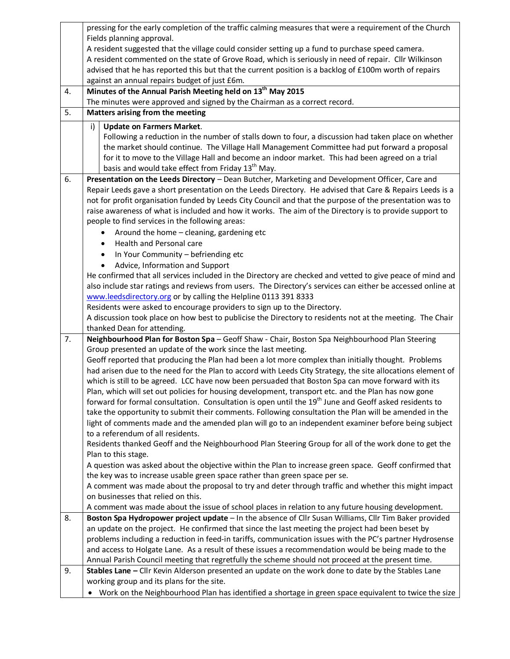|    | pressing for the early completion of the traffic calming measures that were a requirement of the Church                                                                                                                  |  |  |  |  |  |  |
|----|--------------------------------------------------------------------------------------------------------------------------------------------------------------------------------------------------------------------------|--|--|--|--|--|--|
|    | Fields planning approval.                                                                                                                                                                                                |  |  |  |  |  |  |
|    | A resident suggested that the village could consider setting up a fund to purchase speed camera.                                                                                                                         |  |  |  |  |  |  |
|    | A resident commented on the state of Grove Road, which is seriously in need of repair. Cllr Wilkinson                                                                                                                    |  |  |  |  |  |  |
|    | advised that he has reported this but that the current position is a backlog of £100m worth of repairs                                                                                                                   |  |  |  |  |  |  |
|    | against an annual repairs budget of just £6m.                                                                                                                                                                            |  |  |  |  |  |  |
| 4. | Minutes of the Annual Parish Meeting held on 13 <sup>th</sup> May 2015                                                                                                                                                   |  |  |  |  |  |  |
|    | The minutes were approved and signed by the Chairman as a correct record.                                                                                                                                                |  |  |  |  |  |  |
| 5. | Matters arising from the meeting                                                                                                                                                                                         |  |  |  |  |  |  |
|    | <b>Update on Farmers Market.</b><br>i)                                                                                                                                                                                   |  |  |  |  |  |  |
|    | Following a reduction in the number of stalls down to four, a discussion had taken place on whether                                                                                                                      |  |  |  |  |  |  |
|    | the market should continue. The Village Hall Management Committee had put forward a proposal                                                                                                                             |  |  |  |  |  |  |
|    | for it to move to the Village Hall and become an indoor market. This had been agreed on a trial                                                                                                                          |  |  |  |  |  |  |
|    | basis and would take effect from Friday 13 <sup>th</sup> May.                                                                                                                                                            |  |  |  |  |  |  |
| 6. | Presentation on the Leeds Directory - Dean Butcher, Marketing and Development Officer, Care and                                                                                                                          |  |  |  |  |  |  |
|    | Repair Leeds gave a short presentation on the Leeds Directory. He advised that Care & Repairs Leeds is a                                                                                                                 |  |  |  |  |  |  |
|    | not for profit organisation funded by Leeds City Council and that the purpose of the presentation was to                                                                                                                 |  |  |  |  |  |  |
|    | raise awareness of what is included and how it works. The aim of the Directory is to provide support to                                                                                                                  |  |  |  |  |  |  |
|    | people to find services in the following areas:                                                                                                                                                                          |  |  |  |  |  |  |
|    | Around the home - cleaning, gardening etc<br>٠                                                                                                                                                                           |  |  |  |  |  |  |
|    | Health and Personal care<br>$\bullet$                                                                                                                                                                                    |  |  |  |  |  |  |
|    |                                                                                                                                                                                                                          |  |  |  |  |  |  |
|    | In Your Community - befriending etc<br>$\bullet$                                                                                                                                                                         |  |  |  |  |  |  |
|    | Advice, Information and Support<br>$\bullet$                                                                                                                                                                             |  |  |  |  |  |  |
|    | He confirmed that all services included in the Directory are checked and vetted to give peace of mind and<br>also include star ratings and reviews from users. The Directory's services can either be accessed online at |  |  |  |  |  |  |
|    | www.leedsdirectory.org or by calling the Helpline 0113 391 8333                                                                                                                                                          |  |  |  |  |  |  |
|    |                                                                                                                                                                                                                          |  |  |  |  |  |  |
|    | Residents were asked to encourage providers to sign up to the Directory.                                                                                                                                                 |  |  |  |  |  |  |
|    | A discussion took place on how best to publicise the Directory to residents not at the meeting. The Chair<br>thanked Dean for attending.                                                                                 |  |  |  |  |  |  |
| 7. | Neighbourhood Plan for Boston Spa - Geoff Shaw - Chair, Boston Spa Neighbourhood Plan Steering                                                                                                                           |  |  |  |  |  |  |
|    | Group presented an update of the work since the last meeting.                                                                                                                                                            |  |  |  |  |  |  |
|    | Geoff reported that producing the Plan had been a lot more complex than initially thought. Problems                                                                                                                      |  |  |  |  |  |  |
|    | had arisen due to the need for the Plan to accord with Leeds City Strategy, the site allocations element of                                                                                                              |  |  |  |  |  |  |
|    | which is still to be agreed. LCC have now been persuaded that Boston Spa can move forward with its                                                                                                                       |  |  |  |  |  |  |
|    | Plan, which will set out policies for housing development, transport etc. and the Plan has now gone                                                                                                                      |  |  |  |  |  |  |
|    | forward for formal consultation. Consultation is open until the 19 <sup>th</sup> June and Geoff asked residents to                                                                                                       |  |  |  |  |  |  |
|    | take the opportunity to submit their comments. Following consultation the Plan will be amended in the                                                                                                                    |  |  |  |  |  |  |
|    | light of comments made and the amended plan will go to an independent examiner before being subject                                                                                                                      |  |  |  |  |  |  |
|    | to a referendum of all residents.                                                                                                                                                                                        |  |  |  |  |  |  |
|    | Residents thanked Geoff and the Neighbourhood Plan Steering Group for all of the work done to get the                                                                                                                    |  |  |  |  |  |  |
|    | Plan to this stage.                                                                                                                                                                                                      |  |  |  |  |  |  |
|    | A question was asked about the objective within the Plan to increase green space. Geoff confirmed that                                                                                                                   |  |  |  |  |  |  |
|    | the key was to increase usable green space rather than green space per se.                                                                                                                                               |  |  |  |  |  |  |
|    | A comment was made about the proposal to try and deter through traffic and whether this might impact                                                                                                                     |  |  |  |  |  |  |
|    | on businesses that relied on this.                                                                                                                                                                                       |  |  |  |  |  |  |
|    | A comment was made about the issue of school places in relation to any future housing development.                                                                                                                       |  |  |  |  |  |  |
| 8. | Boston Spa Hydropower project update - In the absence of Cllr Susan Williams, Cllr Tim Baker provided                                                                                                                    |  |  |  |  |  |  |
|    | an update on the project. He confirmed that since the last meeting the project had been beset by                                                                                                                         |  |  |  |  |  |  |
|    | problems including a reduction in feed-in tariffs, communication issues with the PC's partner Hydrosense                                                                                                                 |  |  |  |  |  |  |
|    | and access to Holgate Lane. As a result of these issues a recommendation would be being made to the                                                                                                                      |  |  |  |  |  |  |
|    | Annual Parish Council meeting that regretfully the scheme should not proceed at the present time.                                                                                                                        |  |  |  |  |  |  |
| 9. | Stables Lane - Cllr Kevin Alderson presented an update on the work done to date by the Stables Lane                                                                                                                      |  |  |  |  |  |  |
|    | working group and its plans for the site.                                                                                                                                                                                |  |  |  |  |  |  |
|    | Work on the Neighbourhood Plan has identified a shortage in green space equivalent to twice the size                                                                                                                     |  |  |  |  |  |  |